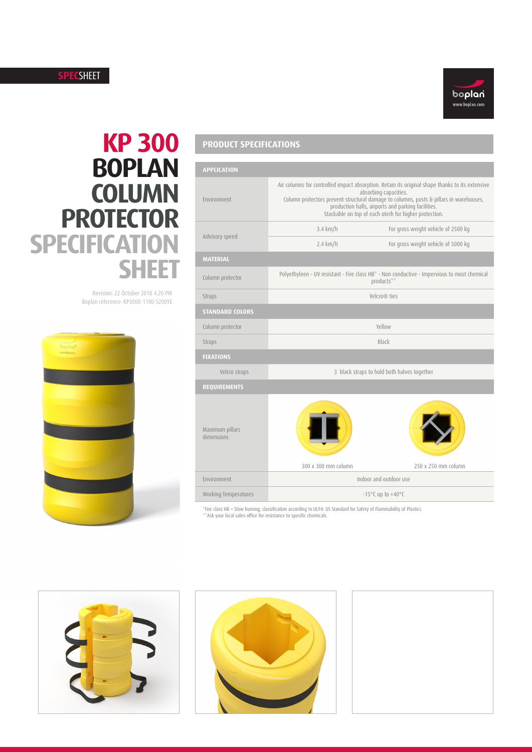## **SPEC**SHEET



# **KP 300 BOPLAN COLUMN PROTECTOR SPECIFICATION SHEET**

Revision: 22 October 2018 4:20 PM Boplan reference: KP3000-1100-S200YE



# **PRODUCT SPECIFICATIONS**

| <b>APPLICATION</b>            |                                                                                                                                                                                                                                                                                                                                   |                                     |  |  |
|-------------------------------|-----------------------------------------------------------------------------------------------------------------------------------------------------------------------------------------------------------------------------------------------------------------------------------------------------------------------------------|-------------------------------------|--|--|
| Environment                   | Air columns for controlled impact absorption. Retain its original shape thanks to its extensive<br>absorbing capacities.<br>Column protectors prevent structural damage to columns, posts & pillars in warehouses,<br>production halls, airports and parking facilities.<br>Stackable on top of each oterh for higher protection. |                                     |  |  |
| Advisory speed                | 3.4 km/h                                                                                                                                                                                                                                                                                                                          | For gross weight vehicle of 2500 kg |  |  |
|                               | $2.4$ km/h                                                                                                                                                                                                                                                                                                                        | For gross weight vehicle of 5000 kg |  |  |
| <b>MATERIAL</b>               |                                                                                                                                                                                                                                                                                                                                   |                                     |  |  |
| Column protector              | Polyethyleen - UV resistant - Fire class HB* - Non conductive - Impervious to most chemical<br>products**                                                                                                                                                                                                                         |                                     |  |  |
| Straps                        | Velcro <sup>®</sup> ties                                                                                                                                                                                                                                                                                                          |                                     |  |  |
| <b>STANDARD COLORS</b>        |                                                                                                                                                                                                                                                                                                                                   |                                     |  |  |
| Column protector              | Yellow                                                                                                                                                                                                                                                                                                                            |                                     |  |  |
| Straps                        | Black                                                                                                                                                                                                                                                                                                                             |                                     |  |  |
| <b>FIXATIONS</b>              |                                                                                                                                                                                                                                                                                                                                   |                                     |  |  |
| Velcro straps                 | 3 black straps to hold both halves together                                                                                                                                                                                                                                                                                       |                                     |  |  |
| <b>REQUIREMENTS</b>           |                                                                                                                                                                                                                                                                                                                                   |                                     |  |  |
| Maximum pillars<br>dimensions | 300 x 300 mm column                                                                                                                                                                                                                                                                                                               | 250 x 250 mm column                 |  |  |
| Environment                   | Indoor and outdoor use                                                                                                                                                                                                                                                                                                            |                                     |  |  |
| Working Temperatures          | $-15^{\circ}$ C up to $+40^{\circ}$ C                                                                                                                                                                                                                                                                                             |                                     |  |  |

\*Fire class HB = Slow burning; classification according to UL94: US Standard for Safety of Flammability of Plastics \*\*Ask your local sales office for resistance to specific chemicals.